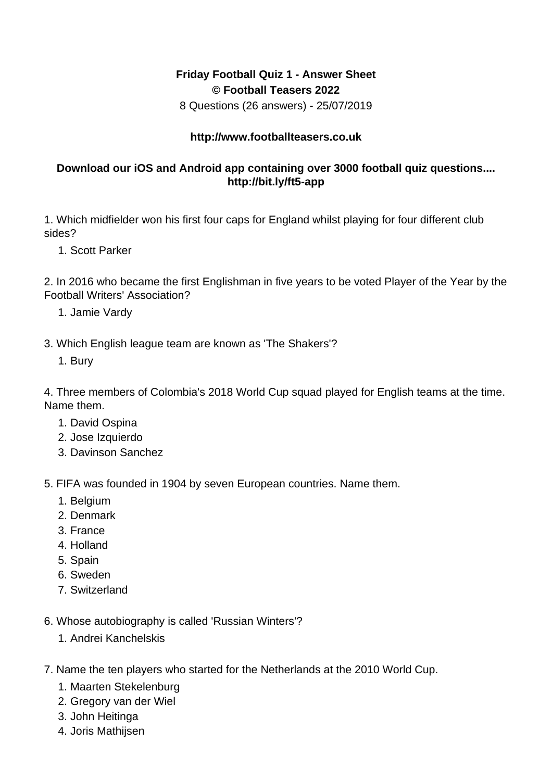## **Friday Football Quiz 1 - Answer Sheet © Football Teasers 2022**

8 Questions (26 answers) - 25/07/2019

## **http://www.footballteasers.co.uk**

## **Download our iOS and Android app containing over 3000 football quiz questions.... http://bit.ly/ft5-app**

1. Which midfielder won his first four caps for England whilst playing for four different club sides?

1. Scott Parker

2. In 2016 who became the first Englishman in five years to be voted Player of the Year by the Football Writers' Association?

- 1. Jamie Vardy
- 3. Which English league team are known as 'The Shakers'?
	- 1. Bury

4. Three members of Colombia's 2018 World Cup squad played for English teams at the time. Name them.

- 1. David Ospina
- 2. Jose Izquierdo
- 3. Davinson Sanchez

5. FIFA was founded in 1904 by seven European countries. Name them.

- 1. Belgium
- 2. Denmark
- 3. France
- 4. Holland
- 5. Spain
- 6. Sweden
- 7. Switzerland

6. Whose autobiography is called 'Russian Winters'?

- 1. Andrei Kanchelskis
- 7. Name the ten players who started for the Netherlands at the 2010 World Cup.
	- 1. Maarten Stekelenburg
	- 2. Gregory van der Wiel
	- 3. John Heitinga
	- 4. Joris Mathijsen